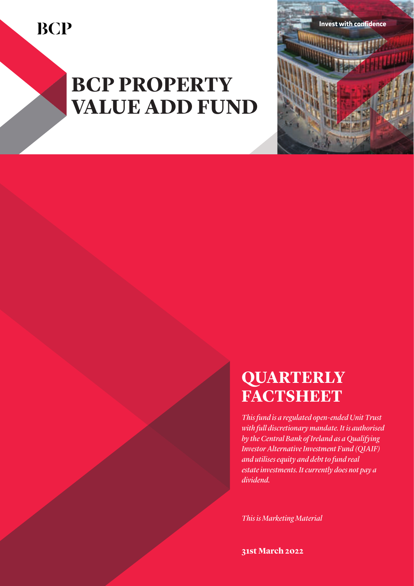

# **BCP PROPERTY VALUE ADD FUND**



*This fund is a regulated open-ended Unit Trust with full discretionary mandate. It is authorised by the Central Bank of Ireland as a Qualifying InvestorAlternativeInvestment Fund (QIAIF) and utilisesequity and debt to fund real estateinvestments. Itcurrently does not pay a dividend.*

Invest with confidence

*This is Marketing Material*

**31st March 2022**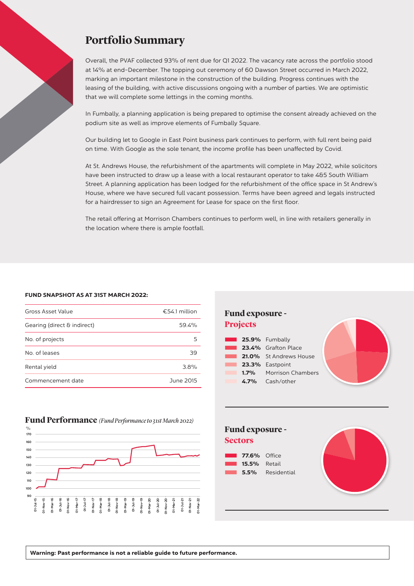## **Portfolio Summary**

Overall, the PVAF collected 93% of rent due for Q1 2022. The vacancy rate across the portfolio stood at 14% at end-December. The topping out ceremony of 60 Dawson Street occurred in March 2022, marking an important milestone in the construction of the building. Progress continues with the leasing of the building, with active discussions ongoing with a number of parties. We are optimistic that we will complete some lettings in the coming months.

In Fumbally, a planning application is being prepared to optimise the consent already achieved on the podium site as well as improve elements of Fumbally Square.

Our building let to Google in East Point business park continues to perform, with full rent being paid on time. With Google as the sole tenant, the income profile has been unaffected by Covid.

At St. Andrews House, the refurbishment of the apartments will complete in May 2022, while solicitors have been instructed to draw up a lease with a local restaurant operator to take 4&5 South William Street. A planning application has been lodged for the refurbishment of the office space in St Andrew's House, where we have secured full vacant possession. Terms have been agreed and legals instructed for a hairdresser to sign an Agreement for Lease for space on the first floor.

The retail offering at Morrison Chambers continues to perform well, in line with retailers generally in the location where there is ample footfall.

### FUND SNAPSHOT AS AT 31ST MARCH 2022:

| <b>Gross Asset Value</b>    | €54.1 million |
|-----------------------------|---------------|
| Gearing (direct & indirect) | 59.4%         |
| No. of projects             | 5             |
| No. of leases               | 39            |
| Rental yield                | 3.8%          |
| Commencement date           | June 2015     |

### **Fund exposure - Projects**

**Sectors**

**8 77.6%** Office **15.5%** Office

| . . | 25.9% Fumbally         |  |
|-----|------------------------|--|
|     | 23.4% Grafton Place    |  |
|     | 21.0% St Andrews House |  |
|     | 23.3% Eastpoint        |  |
|     | 1.7% Morrison Chambers |  |
|     | 4.7% Cash/other        |  |
|     |                        |  |



**Fund Performance** *(Fund Performanceto 31st March 2022)*

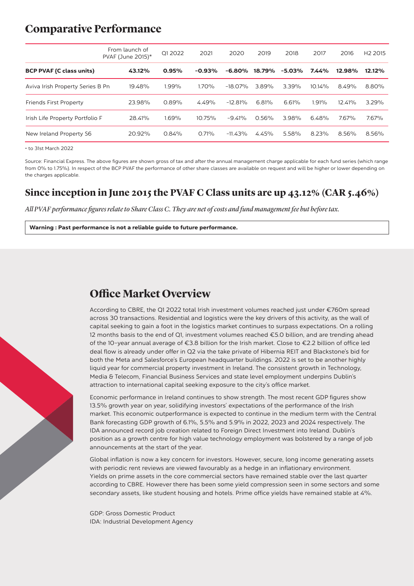## **Comparative Performance**

|                                  | From launch of<br>PVAF (June 2015)* | Q1 2022 | 2021      | 2020       | 2019   | 2018      | 2017      | 2016   | H <sub>2</sub> 2015 |
|----------------------------------|-------------------------------------|---------|-----------|------------|--------|-----------|-----------|--------|---------------------|
| <b>BCP PVAF {C class units}</b>  | 43.12%                              | 0.95%   | $-0.93%$  | $-6.80%$   | 18.79% | $-5.03\%$ | 7.44%     | 12.98% | 12.12%              |
| Aviva Irish Property Series B Pn | 19.48%                              | 1.99%   | 1.70%     | $-18.07\%$ | 3.89%  | 3.39%     | $10.14\%$ | 8.49%  | 8.80%               |
| Friends First Property           | 23.98%                              | 0.89%   | 4.49%     | $-12.81%$  | 6.81%  | 6.61%     | 1.91%     | 12.41% | 3.29%               |
| Irish Life Property Portfolio F  | 28.41%                              | 1.69%   | $10.75\%$ | $-9.41%$   | 0.56%  | 3.98%     | 6.48%     | 7.67%  | 7.67%               |
| New Ireland Property S6          | 20.92%                              | 0.84%   | 0.71%     | $-11.43%$  | 4.45%  | 5.58%     | 8.23%     | 8.56%  | $8.56\%$            |

• to 31st March 2022

Source: Financial Express. The above figures are shown gross of tax and after the annual management charge applicable for each fund series (which range from 0% to 1.75%). In respect of the BCP PVAF the performance of other share classes are available on request and will be higher or lower depending on the charges applicable.

## **Since inception in June 2015 the PVAF C Class units are up 43.12% (CAR 5.46%)**

All PVAF performance figures relate to Share Class C. They are net of costs and fund management fee but before tax.

Warning : Past performance is not a reliable guide to future performance.

## **Office Market Overview**

According to CBRE, the Q1 2022 total Irish investment volumes reached just under €760m spread across 30 transactions. Residential and logistics were the key drivers of this activity, as the wall of capital seeking to gain a foot in the logistics market continues to surpass expectations. On a rolling 12 months basis to the end of Q1, investment volumes reached €5.0 billion, and are trending ahead of the 10-year annual average of €3.8 billion for the Irish market. Close to €2.2 billion of office led deal flow is already under offer in Q2 via the take private of Hibernia REIT and Blackstone's bid for both the Meta and Salesforce's European headquarter buildings. 2022 is set to be another highly liquid year for commercial property investment in Ireland. The consistent growth in Technology, Media & Telecom, Financial Business Services and state level employment underpins Dublin's attraction to international capital seeking exposure to the city's office market.

Economic performance in Ireland continues to show strength. The most recent GDP figures show 13.5% growth year on year, solidifying investors' expectations of the performance of the Irish market. This economic outperformance is expected to continue in the medium term with the Central Bank forecasting GDP growth of 6.1%, 5.5% and 5.9% in 2022, 2023 and 2024 respectively. The IDA announced record job creation related to Foreign Direct Investment into Ireland. Dublin's position as a growth centre for high value technology employment was bolstered by a range of job announcements at the start of the year.

Global inflation is now a key concern for investors. However, secure, long income generating assets with periodic rent reviews are viewed favourably as a hedge in an inflationary environment. Yields on prime assets in the core commercial sectors have remained stable over the last quarter according to CBRE. However there has been some yield compression seen in some sectors and some secondary assets, like student housing and hotels. Prime office yields have remained stable at 4%.

GDP: Gross Domestic Product IDA: Industrial Development Agency

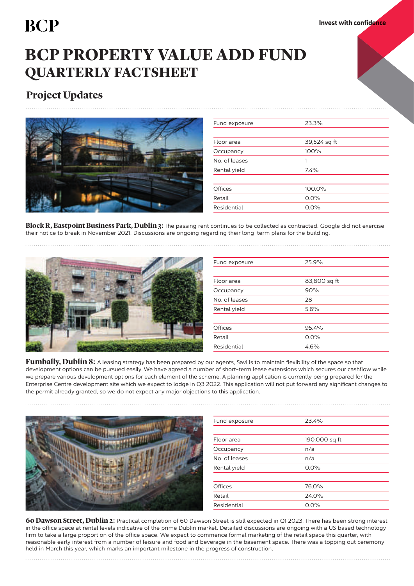# **BCP**

# **BCP PROPERTY VALUE ADD FUND QUARTERLY FACTSHEET**

## **Project Updates**



| Fund exposure | 23.3%        |
|---------------|--------------|
|               |              |
| Floor area    | 39,524 sq ft |
| Occupancy     | 100%         |
| No. of leases | 1            |
| Rental yield  | 7.4%         |
|               |              |
| Offices       | 100.0%       |
| Retail        | $0.0\%$      |
| Residential   | $0.0\%$      |

**Block R, Eastpoint Business Park, Dublin 3:** The passing rent continues to be collected as contracted. Google did not exercise their notice to break in November 2021. Discussions are ongoing regarding their long-term plans for the building.



| Fund exposure | 25.9%        |  |
|---------------|--------------|--|
|               |              |  |
| Floor area    | 83,800 sq ft |  |
| Occupancy     | 90%          |  |
| No. of leases | 28           |  |
| Rental yield  | 5.6%         |  |
|               |              |  |
| Offices       | 95.4%        |  |
| Retail        | $0.0\%$      |  |
| Residential   | 4.6%         |  |
|               |              |  |

**Fumbally, Dublin 8:** A leasing strategy has been prepared by our agents, Savills to maintain flexibility of the space so that development options can be pursued easily. We have agreed a number of short-term lease extensions which secures our cashflow while we prepare various development options for each element of the scheme. A planning application is currently being prepared for the Enterprise Centre development site which we expect to lodge in Q3 2022. This application will not put forward any significant changes to the permit already granted, so we do not expect any major objections to this application.



| Fund exposure | 23.4%         |  |
|---------------|---------------|--|
|               |               |  |
| Floor area    | 190,000 sq ft |  |
| Occupancy     | n/a           |  |
| No. of leases | n/a           |  |
| Rental yield  | 0.0%          |  |
|               |               |  |
| Offices       | 76.0%         |  |
| Retail        | 24.0%         |  |
| Residential   | $0.0\%$       |  |

**60 Dawson Street, Dublin 2:** Practical completion of 60 Dawson Street is still expected in Q1 2023. There has been strong interest in the office space at rental levels indicative of the prime Dublin market. Detailed discussions are ongoing with a US based technology firm to take a large proportion of the office space. We expect to commence formal marketing of the retail space this quarter, with reasonable early interest from a number of leisure and food and beverage in the basement space. There was a topping out ceremony held in March this year, which marks an important milestone in the progress of construction.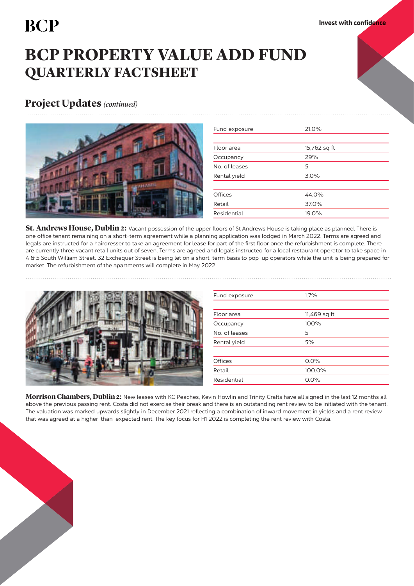Invest with confidence

# **BCP**

# **BCP PROPERTY VALUE ADD FUND QUARTERLY FACTSHEET**

## **Project Updates** *(continued)*



| Fund exposure | 21.0%        |  |
|---------------|--------------|--|
|               |              |  |
| Floor area    | 15,762 sq ft |  |
| Occupancy     | 29%          |  |
| No. of leases | 5            |  |
| Rental yield  | 3.0%         |  |
|               |              |  |
| Offices       | 44.0%        |  |
| Retail        | 37.0%        |  |
| Residential   | 19.0%        |  |
|               |              |  |

**St. Andrews House, Dublin 2:** Vacant possession of the upper floors of St Andrews House is taking place as planned. There is one office tenant remaining on a short-term agreement while a planning application was lodged in March 2022. Terms are agreed and legals are instructed for a hairdresser to take an agreement for lease for part of the first floor once the refurbishment is complete. There are currently three vacant retail units out of seven. Terms are agreed and legals instructed for a local restaurant operator to take space in 4 & 5 South William Street. 32 Exchequer Street is being let on a short-term basis to pop-up operators while the unit is being prepared for market. The refurbishment of the apartments will complete in May 2022.



| Fund exposure | 1.7%         |  |
|---------------|--------------|--|
|               |              |  |
| Floor area    | 11,469 sq ft |  |
| Occupancy     | 100%         |  |
| No. of leases | 5            |  |
| Rental yield  | 5%           |  |
|               |              |  |
| Offices       | 0.0%         |  |
| Retail        | 100.0%       |  |
| Residential   | $0.0\%$      |  |

**Morrison Chambers, Dublin 2:** New leases with KC Peaches, Kevin Howlin and Trinity Crafts have all signed in the last 12 months all above the previous passing rent. Costa did not exercise their break and there is an outstanding rent review to be initiated with the tenant. The valuation was marked upwards slightly in December 2021 reflecting a combination of inward movement in yields and a rent review that was agreed at a higher-than-expected rent. The key focus for H1 2022 is completing the rent review with Costa.